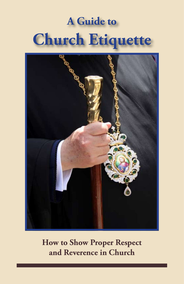# **A Guide to Church Etiquette**



**How to Show Proper Respect and Reverence in Church**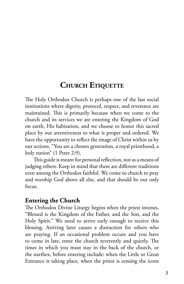# **CHURCH ETIQUETTE**

The Holy Orthodox Church is perhaps one of the last social institutions where dignity, protocol, respect, and reverence are maintained. This is primarily because when we come to the church and its services we are entering the Kingdom of God on earth, His habitation, and we choose to honor this sacred place by our attentiveness to what is proper and ordered. We have the opportunity to reflect the image of Christ within us by our actions. "You are a chosen generation, a royal priesthood, a holy nation" (1 Peter 2:9).

This guide is meant for personal reflection, not as a means of judging others. Keep in mind that there are different traditions even among the Orthodox faithful. We come to church to pray and worship God above all else, and that should be our only focus.

#### **Entering the Church**

The Orthodox Divine Liturgy begins when the priest intones, "Blessed is the Kingdom of the Father, and the Son, and the Holy Spirit." We need to arrive early enough to receive this blessing. Arriving later causes a distraction for others who are praying. If an occasional problem occurs and you have to come in late, enter the church reverently and quietly. The times in which you must stay in the back of the church, or the narthex, before entering include: when the Little or Great Entrance is taking place, when the priest is censing the icons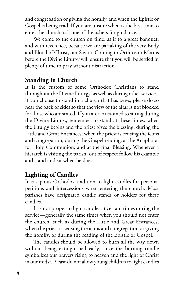and congregation or giving the homily, and when the Epistle or Gospel is being read. If you are unsure when is the best time to enter the church, ask one of the ushers for guidance.

We come to the church on time, as if to a great banquet, and with reverence, because we are partaking of the very Body and Blood of Christ, our Savior. Coming to Orthros or Matins before the Divine Liturgy will ensure that you will be settled in plenty of time to pray without distraction.

#### **Standing in Church**

It is the custom of some Orthodox Christians to stand throughout the Divine Liturgy, as well as during other services. If you choose to stand in a church that has pews, please do so near the back or sides so that the view of the altar is not blocked for those who are seated. If you are accustomed to sitting during the Divine Liturgy, remember to stand at these times: when the Liturgy begins and the priest gives the blessing; during the Little and Great Entrances; when the priest is censing the icons and congregation; during the Gospel reading; at the Anaphora; for Holy Communion; and at the final Blessing. Whenever a hierarch is visiting the parish, out of respect follow his example and stand and sit when he does.

#### **Lighting of Candles**

It is a pious Orthodox tradition to light candles for personal petitions and intercessions when entering the church. Most parishes have designated candle stands or holders for these candles.

It is not proper to light candles at certain times during the service—generally the same times when you should not enter the church, such as during the Little and Great Entrances, when the priest is censing the icons and congregation or giving the homily, or during the reading of the Epistle or Gospel.

The candles should be allowed to burn all the way down without being extinguished early, since the burning candle symbolizes our prayers rising to heaven and the light of Christ in our midst. Please do not allow young children to light candles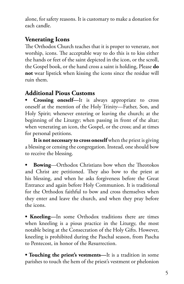alone, for safety reasons. It is customary to make a donation for each candle.

# **Venerating Icons**

The Orthodox Church teaches that it is proper to venerate, not worship, icons. The acceptable way to do this is to kiss either the hands or feet of the saint depicted in the icon, or the scroll, the Gospel book, or the hand cross a saint is holding, Please **do not** wear lipstick when kissing the icons since the residue will ruin them.

# **Additional Pious Customs**

**• Crossing oneself—**It is always appropriate to cross oneself at the mention of the Holy Trinity—Father, Son, and Holy Spirit; whenever entering or leaving the church; at the beginning of the Liturgy; when passing in front of the altar; when venerating an icon, the Gospel, or the cross; and at times for personal petitions.

**It is not necessary to cross oneself** when the priest is giving a blessing or censing the congregation. Instead, one should bow to receive the blessing.

**• Bowing**—Orthodox Christians bow when the Theotokos and Christ are petitioned. They also bow to the priest at his blessing, and when he asks forgiveness before the Great Entrance and again before Holy Communion. It is traditional for the Orthodox faithful to bow and cross themselves when they enter and leave the church, and when they pray before the icons.

**• Kneeling—**In some Orthodox traditions there are times when kneeling is a pious practice in the Liturgy, the most notable being at the Consecration of the Holy Gifts. However, kneeling is prohibited during the Paschal season, from Pascha to Pentecost, in honor of the Resurrection.

**• Touching the priest's vestments—**It is a tradition in some parishes to touch the hem of the priest's vestment or phelonion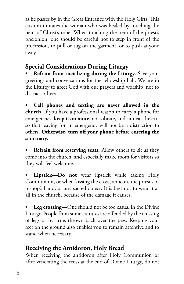as he passes by in the Great Entrance with the Holy Gifts. This custom imitates the woman who was healed by touching the hem of Christ's robe. When touching the hem of the priest's phelonion, one should be careful not to step in front of the procession, to pull or tug on the garment, or to push anyone away.

# **Special Considerations During Liturgy**

**• Refrain from socializing during the Liturgy.** Save your greetings and conversations for the fellowship hall. We are in the Liturgy to greet God with our prayers and worship, not to distract others.

**• Cell phones and texting are never allowed in the church.** If you have a professional reason to carry a phone for emergencies, **keep it on mute**, not vibrate, and sit near the exit so that leaving for an emergency will not be a distraction to others. **Otherwise, turn off your phone before entering the sanctuary.**

**Refrain from reserving seats.** Allow others to sit as they come into the church, and especially make room for visitors so they will feel welcome.

Lipstick-Do not wear lipstick while taking Holy Communion, or when kissing the cross, an icon, the priest's or bishop's hand, or any sacred object. It is best not to wear it at all in the church, because of the damage it causes.

**• Leg crossing—**One should not be too casual in the Divine Liturgy. People from some cultures are offended by the crossing of legs or by arms thrown back over the pew. Keeping your feet on the ground also enables you to remain attentive and to stand when necessary.

# **Receiving the Antidoron, Holy Bread**

When receiving the antidoron after Holy Communion or after venerating the cross at the end of Divine Liturgy, do not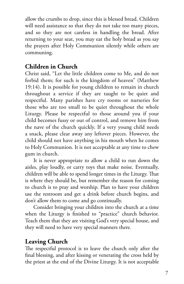allow the crumbs to drop, since this is blessed bread. Children will need assistance so that they do not take too many pieces, and so they are not careless in handling the bread. After returning to your seat, you may eat the holy bread as you say the prayers after Holy Communion silently while others are communing.

## **Children in Church**

Christ said, "Let the little children come to Me, and do not forbid them; for such is the kingdom of heaven" (Matthew 19:14). It is possible for young children to remain in church throughout a service if they are taught to be quiet and respectful. Many parishes have cry rooms or nurseries for those who are too small to be quiet throughout the whole Liturgy. Please be respectful to those around you if your child becomes fussy or out of control, and remove him from the nave of the church quickly. If a very young child needs a snack, please clear away any leftover pieces. However, the child should not have anything in his mouth when he comes to Holy Communion. It is not acceptable at any time to chew gum in church.

It is never appropriate to allow a child to run down the aisles, play loudly, or carry toys that make noise. Eventually, children will be able to spend longer times in the Liturgy. That is where they should be, but remember the reason for coming to church is to pray and worship. Plan to have your children use the restroom and get a drink before church begins, and don't allow them to come and go continually.

Consider bringing your children into the church at a time when the Liturgy is finished to "practice" church behavior. Teach them that they are visiting God's very special house, and they will need to have very special manners there.

# **Leaving Church**

The respectful protocol is to leave the church only after the final blessing, and after kissing or venerating the cross held by the priest at the end of the Divine Liturgy. It is not acceptable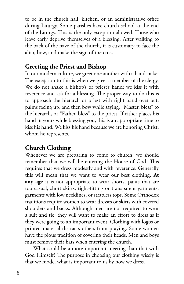to be in the church hall, kitchen, or an administrative office during Liturgy. Some parishes have church school at the end of the Liturgy. This is the only exception allowed. Those who leave early deprive themselves of a blessing. After walking to the back of the nave of the church, it is customary to face the altar, bow, and make the sign of the cross.

#### **Greeting the Priest and Bishop**

In our modern culture, we greet one another with a handshake. The exception to this is when we greet a member of the clergy. We do not shake a bishop's or priest's hand; we kiss it with reverence and ask for a blessing. The proper way to do this is to approach the hierarch or priest with right hand over left, palms facing up, and then bow while saying, "Master, bless" to the hierarch, or "Father, bless" to the priest. If either places his hand in yours while blessing you, this is an appropriate time to kiss his hand. We kiss his hand because we are honoring Christ, whom he represents.

# **Church Clothing**

Whenever we are preparing to come to church, we should remember that we will be entering the House of God. This requires that we dress modestly and with reverence. Generally this will mean that we want to wear our best clothing. **At any age** it is not appropriate to wear shorts, pants that are too casual, short skirts, tight-fitting or transparent garments, garments with low necklines, or strapless tops. Some Orthodox traditions require women to wear dresses or skirts with covered shoulders and backs. Although men are not required to wear a suit and tie, they will want to make an effort to dress as if they were going to an important event. Clothing with logos or printed material distracts others from praying. Some women have the pious tradition of covering their heads. Men and boys must remove their hats when entering the church.

What could be a more important meeting than that with God Himself? The purpose in choosing our clothing wisely is that we model what is important to us by how we dress.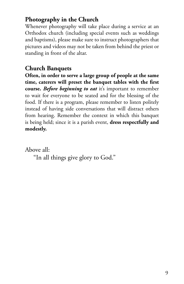# **Photography in the Church**

Whenever photography will take place during a service at an Orthodox church (including special events such as weddings and baptisms), please make sure to instruct photographers that pictures and videos may not be taken from behind the priest or standing in front of the altar.

# **Church Banquets**

**Often, in order to serve a large group of people at the same time, caterers will preset the banquet tables with the first course.** *Before beginning to eat* it's important to remember to wait for everyone to be seated and for the blessing of the food. If there is a program, please remember to listen politely instead of having side conversations that will distract others from hearing. Remember the context in which this banquet is being held; since it is a parish event, **dress respectfully and modestly.**

Above all:

"In all things give glory to God."